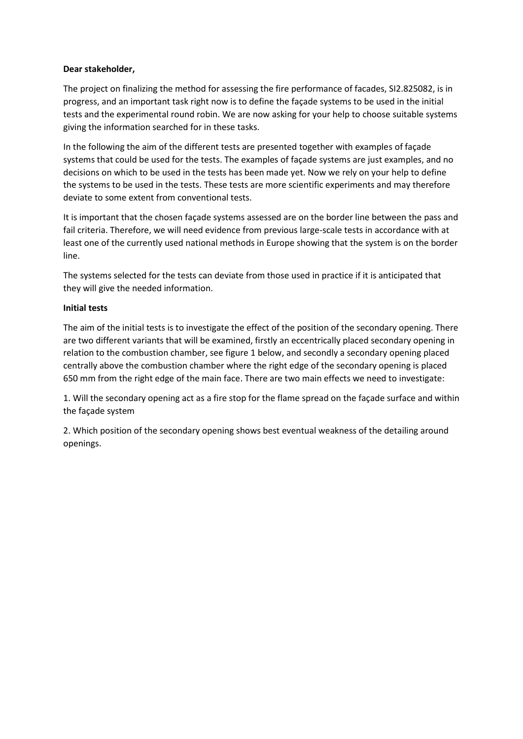# **Dear stakeholder,**

The project on finalizing the method for assessing the fire performance of facades, SI2.825082, is in progress, and an important task right now is to define the façade systems to be used in the initial tests and the experimental round robin. We are now asking for your help to choose suitable systems giving the information searched for in these tasks.

In the following the aim of the different tests are presented together with examples of façade systems that could be used for the tests. The examples of façade systems are just examples, and no decisions on which to be used in the tests has been made yet. Now we rely on your help to define the systems to be used in the tests. These tests are more scientific experiments and may therefore deviate to some extent from conventional tests.

It is important that the chosen façade systems assessed are on the border line between the pass and fail criteria. Therefore, we will need evidence from previous large-scale tests in accordance with at least one of the currently used national methods in Europe showing that the system is on the border line.

The systems selected for the tests can deviate from those used in practice if it is anticipated that they will give the needed information.

# **Initial tests**

The aim of the initial tests is to investigate the effect of the position of the secondary opening. There are two different variants that will be examined, firstly an eccentrically placed secondary opening in relation to the combustion chamber, see figure 1 below, and secondly a secondary opening placed centrally above the combustion chamber where the right edge of the secondary opening is placed 650 mm from the right edge of the main face. There are two main effects we need to investigate:

1. Will the secondary opening act as a fire stop for the flame spread on the façade surface and within the façade system

2. Which position of the secondary opening shows best eventual weakness of the detailing around openings.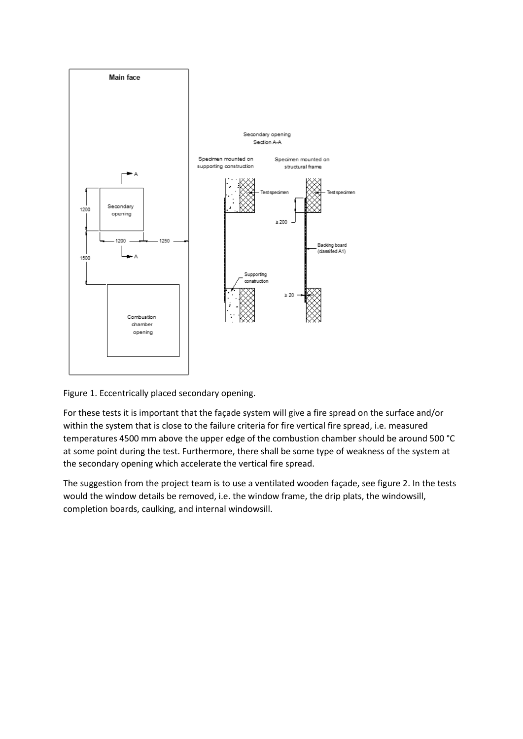

Figure 1. Eccentrically placed secondary opening.

For these tests it is important that the façade system will give a fire spread on the surface and/or within the system that is close to the failure criteria for fire vertical fire spread, i.e. measured temperatures 4500 mm above the upper edge of the combustion chamber should be around 500 °C at some point during the test. Furthermore, there shall be some type of weakness of the system at the secondary opening which accelerate the vertical fire spread.

The suggestion from the project team is to use a ventilated wooden façade, see figure 2. In the tests would the window details be removed, i.e. the window frame, the drip plats, the windowsill, completion boards, caulking, and internal windowsill.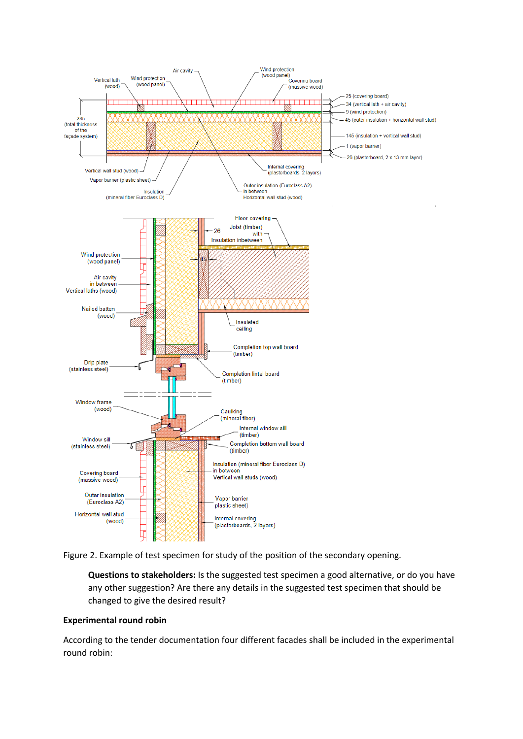

Figure 2. Example of test specimen for study of the position of the secondary opening.

**Questions to stakeholders:** Is the suggested test specimen a good alternative, or do you have any other suggestion? Are there any details in the suggested test specimen that should be changed to give the desired result?

### **Experimental round robin**

According to the tender documentation four different facades shall be included in the experimental round robin: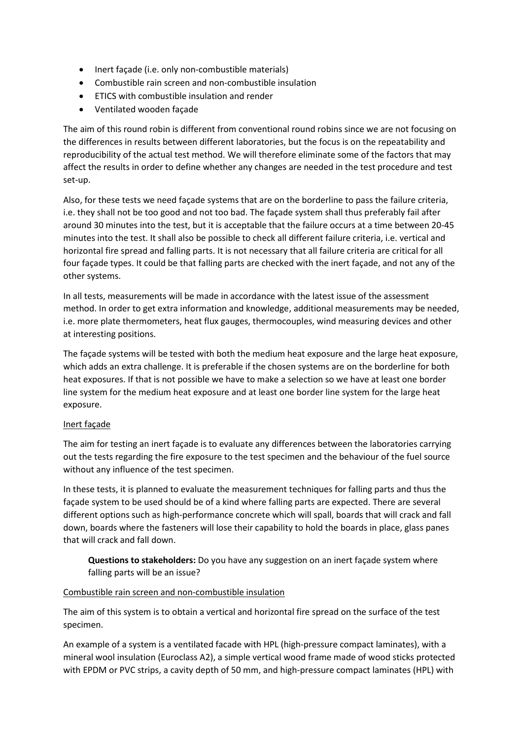- Inert façade (i.e. only non-combustible materials)
- Combustible rain screen and non-combustible insulation
- ETICS with combustible insulation and render
- Ventilated wooden façade

The aim of this round robin is different from conventional round robins since we are not focusing on the differences in results between different laboratories, but the focus is on the repeatability and reproducibility of the actual test method. We will therefore eliminate some of the factors that may affect the results in order to define whether any changes are needed in the test procedure and test set-up.

Also, for these tests we need façade systems that are on the borderline to pass the failure criteria, i.e. they shall not be too good and not too bad. The façade system shall thus preferably fail after around 30 minutes into the test, but it is acceptable that the failure occurs at a time between 20-45 minutes into the test. It shall also be possible to check all different failure criteria, i.e. vertical and horizontal fire spread and falling parts. It is not necessary that all failure criteria are critical for all four façade types. It could be that falling parts are checked with the inert façade, and not any of the other systems.

In all tests, measurements will be made in accordance with the latest issue of the assessment method. In order to get extra information and knowledge, additional measurements may be needed, i.e. more plate thermometers, heat flux gauges, thermocouples, wind measuring devices and other at interesting positions.

The façade systems will be tested with both the medium heat exposure and the large heat exposure, which adds an extra challenge. It is preferable if the chosen systems are on the borderline for both heat exposures. If that is not possible we have to make a selection so we have at least one border line system for the medium heat exposure and at least one border line system for the large heat exposure.

# Inert façade

The aim for testing an inert façade is to evaluate any differences between the laboratories carrying out the tests regarding the fire exposure to the test specimen and the behaviour of the fuel source without any influence of the test specimen.

In these tests, it is planned to evaluate the measurement techniques for falling parts and thus the façade system to be used should be of a kind where falling parts are expected. There are several different options such as high-performance concrete which will spall, boards that will crack and fall down, boards where the fasteners will lose their capability to hold the boards in place, glass panes that will crack and fall down.

**Questions to stakeholders:** Do you have any suggestion on an inert façade system where falling parts will be an issue?

### Combustible rain screen and non-combustible insulation

The aim of this system is to obtain a vertical and horizontal fire spread on the surface of the test specimen.

An example of a system is a ventilated facade with HPL (high-pressure compact laminates), with a mineral wool insulation (Euroclass A2), a simple vertical wood frame made of wood sticks protected with EPDM or PVC strips, a cavity depth of 50 mm, and high-pressure compact laminates (HPL) with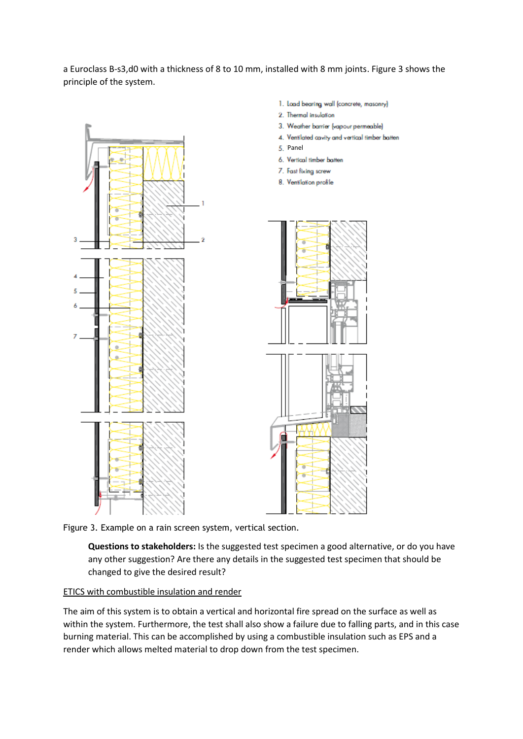a Euroclass B-s3,d0 with a thickness of 8 to 10 mm, installed with 8 mm joints. Figure 3 shows the principle of the system.



- 1. Load bearing wall (concrete, masonry)
- 2. Thermal insulation
- 3. Weather barrier (vapour permeable)
- 4. Ventilated cavity and vertical timber batten
- 5. Panel
- 6. Vertical timber batten
- 7. Fast fixing screw
- 8. Ventilation profile



Figure 3. Example on a rain screen system, vertical section.

**Questions to stakeholders:** Is the suggested test specimen a good alternative, or do you have any other suggestion? Are there any details in the suggested test specimen that should be changed to give the desired result?

### ETICS with combustible insulation and render

The aim of this system is to obtain a vertical and horizontal fire spread on the surface as well as within the system. Furthermore, the test shall also show a failure due to falling parts, and in this case burning material. This can be accomplished by using a combustible insulation such as EPS and a render which allows melted material to drop down from the test specimen.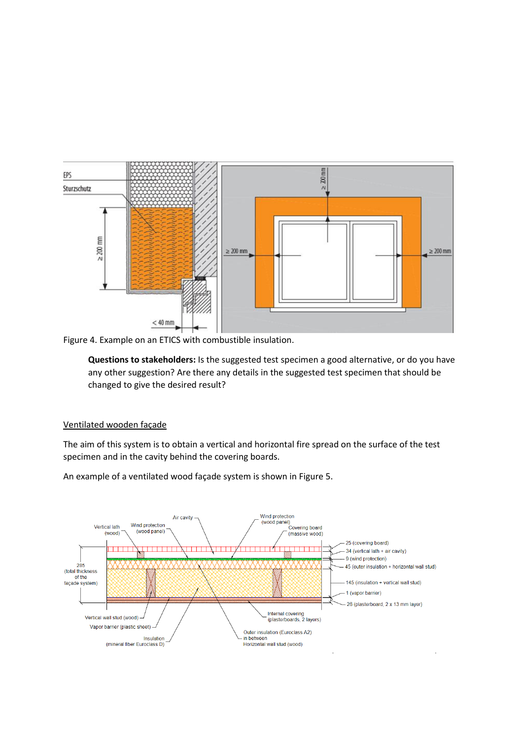

Figure 4. Example on an ETICS with combustible insulation.

**Questions to stakeholders:** Is the suggested test specimen a good alternative, or do you have any other suggestion? Are there any details in the suggested test specimen that should be changed to give the desired result?

### Ventilated wooden façade

The aim of this system is to obtain a vertical and horizontal fire spread on the surface of the test specimen and in the cavity behind the covering boards.



An example of a ventilated wood façade system is shown in Figure 5.